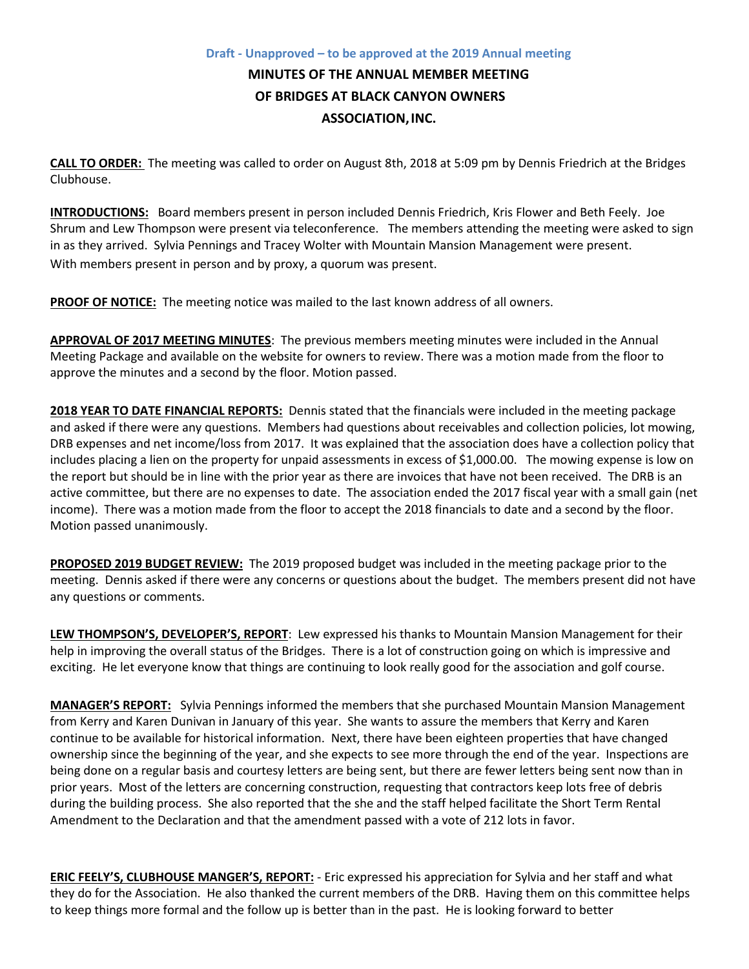## **Draft - Unapproved – to be approved at the 2019 Annual meeting MINUTES OF THE ANNUAL MEMBER MEETING OF BRIDGES AT BLACK CANYON OWNERS ASSOCIATION,INC.**

**CALL TO ORDER:** The meeting was called to order on August 8th, 2018 at 5:09 pm by Dennis Friedrich at the Bridges Clubhouse.

**INTRODUCTIONS:** Board members present in person included Dennis Friedrich, Kris Flower and Beth Feely. Joe Shrum and Lew Thompson were present via teleconference. The members attending the meeting were asked to sign in as they arrived. Sylvia Pennings and Tracey Wolter with Mountain Mansion Management were present. With members present in person and by proxy, a quorum was present.

**PROOF OF NOTICE:** The meeting notice was mailed to the last known address of all owners.

**APPROVAL OF 2017 MEETING MINUTES**: The previous members meeting minutes were included in the Annual Meeting Package and available on the website for owners to review. There was a motion made from the floor to approve the minutes and a second by the floor. Motion passed.

**2018 YEAR TO DATE FINANCIAL REPORTS:** Dennis stated that the financials were included in the meeting package and asked if there were any questions. Members had questions about receivables and collection policies, lot mowing, DRB expenses and net income/loss from 2017. It was explained that the association does have a collection policy that includes placing a lien on the property for unpaid assessments in excess of \$1,000.00. The mowing expense is low on the report but should be in line with the prior year as there are invoices that have not been received. The DRB is an active committee, but there are no expenses to date. The association ended the 2017 fiscal year with a small gain (net income). There was a motion made from the floor to accept the 2018 financials to date and a second by the floor. Motion passed unanimously.

**PROPOSED 2019 BUDGET REVIEW:** The 2019 proposed budget was included in the meeting package prior to the meeting. Dennis asked if there were any concerns or questions about the budget. The members present did not have any questions or comments.

**LEW THOMPSON'S, DEVELOPER'S, REPORT**: Lew expressed his thanks to Mountain Mansion Management for their help in improving the overall status of the Bridges. There is a lot of construction going on which is impressive and exciting. He let everyone know that things are continuing to look really good for the association and golf course.

**MANAGER'S REPORT:** Sylvia Pennings informed the members that she purchased Mountain Mansion Management from Kerry and Karen Dunivan in January of this year. She wants to assure the members that Kerry and Karen continue to be available for historical information. Next, there have been eighteen properties that have changed ownership since the beginning of the year, and she expects to see more through the end of the year. Inspections are being done on a regular basis and courtesy letters are being sent, but there are fewer letters being sent now than in prior years. Most of the letters are concerning construction, requesting that contractors keep lots free of debris during the building process. She also reported that the she and the staff helped facilitate the Short Term Rental Amendment to the Declaration and that the amendment passed with a vote of 212 lots in favor.

**ERIC FEELY'S, CLUBHOUSE MANGER'S, REPORT:** - Eric expressed his appreciation for Sylvia and her staff and what they do for the Association. He also thanked the current members of the DRB. Having them on this committee helps to keep things more formal and the follow up is better than in the past. He is looking forward to better